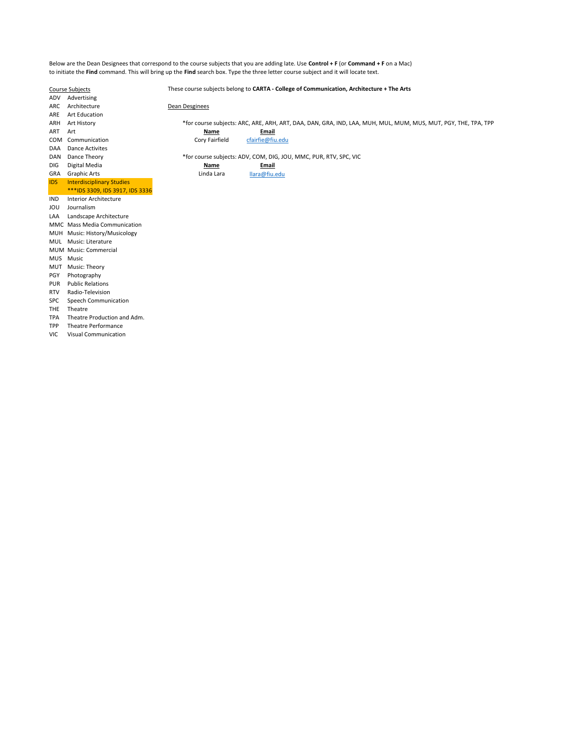Below are the Dean Designees that correspond to the course subjects that you are adding late. Use Control + F (or Command + F on a Mac) to initiate the Find command. This will bring up the Find search box. Type the three letter course subject and it will locate text.

TPA Theatre Production and Adm. TPP Theatre Performance VIC Visual Communication

Course Subjects These course subjects belong to CARTA - College of Communication, Architecture + The Arts ADV Advertising ARC Architecture Dean Desginees ARE Art Education ARH Art History \*for course subjects: ARC, ARE, ARH, ART, DAA, DAN, GRA, IND, LAA, MUH, MUL, MUM, MUS, MUT, PGY, THE, TPA, TPP ART Art **Name Email** COM Communication Cory Fairfield cfairfie@fiu.edu DAA Dance Activites<br>DAN Dance Theory \*for course subjects: ADV, COM, DIG, JOU, MMC, PUR, RTV, SPC, VIC DIG Digital Media Name Name **Name Email** GRA Graphic Arts **Canadian Communist Communist Canadian Communist Communist Communist Communist Communist Communist Communist Communist Communist Communist Communist Communist Communist Communist Communist Communist Commun** IDS Interdisciplinary Studies \*\*\*IDS 3309, IDS 3917, IDS 3336 IND Interior Architecture JOU Journalism LAA Landscape Architecture MMC Mass Media Communication MUH Music: History/Musicology MUL Music: Literature MUM Music: Commercial MUS Music MUT Music: Theory PGY Photography PUR Public Relations RTV Radio-Television SPC Speech Communication THE Theatre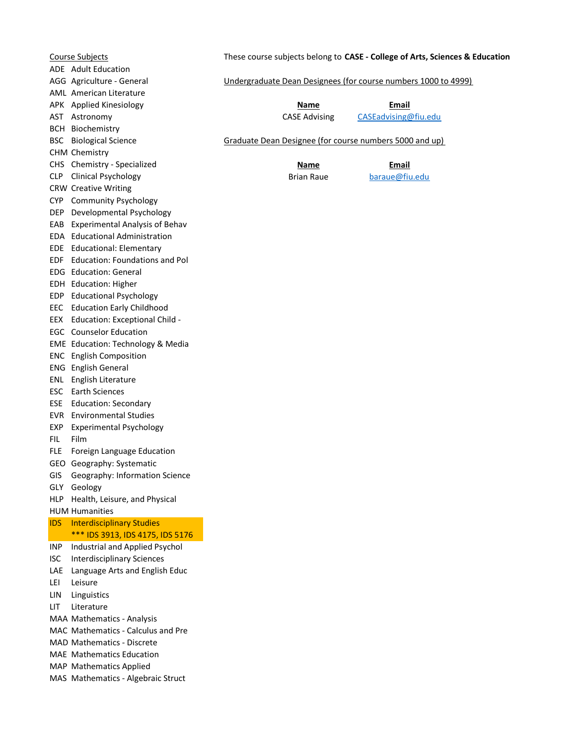| Course Subjects |                                                                    | These course subjects belong to CASE - College of Arts, Sciences & Education |                      |                                                         |
|-----------------|--------------------------------------------------------------------|------------------------------------------------------------------------------|----------------------|---------------------------------------------------------|
|                 | ADE Adult Education                                                |                                                                              |                      |                                                         |
|                 | AGG Agriculture - General                                          | Undergraduate Dean Designees (for course numbers 1000 to 4999)               |                      |                                                         |
|                 | <b>AML</b> American Literature                                     |                                                                              |                      |                                                         |
|                 | APK Applied Kinesiology                                            |                                                                              | Name                 | Email                                                   |
|                 | AST Astronomy                                                      |                                                                              | <b>CASE Advising</b> | CASEadvising@fiu.edu                                    |
|                 | <b>BCH Biochemistry</b>                                            |                                                                              |                      |                                                         |
| BSC             | <b>Biological Science</b>                                          |                                                                              |                      | Graduate Dean Designee (for course numbers 5000 and up) |
|                 | <b>CHM Chemistry</b>                                               |                                                                              |                      |                                                         |
|                 | CHS Chemistry - Specialized                                        |                                                                              | Name                 | <b>Email</b>                                            |
| <b>CLP</b>      | <b>Clinical Psychology</b>                                         |                                                                              | <b>Brian Raue</b>    | baraue@fiu.edu                                          |
|                 | <b>CRW</b> Creative Writing                                        |                                                                              |                      |                                                         |
|                 | CYP Community Psychology                                           |                                                                              |                      |                                                         |
| DEP.            | Developmental Psychology                                           |                                                                              |                      |                                                         |
|                 | EAB Experimental Analysis of Behav                                 |                                                                              |                      |                                                         |
|                 | EDA Educational Administration                                     |                                                                              |                      |                                                         |
|                 | EDE Educational: Elementary                                        |                                                                              |                      |                                                         |
|                 | EDF Education: Foundations and Pol                                 |                                                                              |                      |                                                         |
|                 | EDG Education: General                                             |                                                                              |                      |                                                         |
|                 | EDH Education: Higher                                              |                                                                              |                      |                                                         |
|                 | EDP Educational Psychology                                         |                                                                              |                      |                                                         |
| EEC             | <b>Education Early Childhood</b>                                   |                                                                              |                      |                                                         |
| EEX             | Education: Exceptional Child -                                     |                                                                              |                      |                                                         |
|                 | <b>EGC</b> Counselor Education                                     |                                                                              |                      |                                                         |
|                 | EME Education: Technology & Media                                  |                                                                              |                      |                                                         |
|                 | <b>ENC</b> English Composition                                     |                                                                              |                      |                                                         |
|                 | <b>ENG</b> English General                                         |                                                                              |                      |                                                         |
| ENL             | English Literature                                                 |                                                                              |                      |                                                         |
|                 | <b>ESC</b> Earth Sciences                                          |                                                                              |                      |                                                         |
| <b>ESE</b>      | <b>Education: Secondary</b>                                        |                                                                              |                      |                                                         |
| EVR             | <b>Environmental Studies</b>                                       |                                                                              |                      |                                                         |
| EXP             | <b>Experimental Psychology</b>                                     |                                                                              |                      |                                                         |
| FIL             | Film                                                               |                                                                              |                      |                                                         |
| FLE             | Foreign Language Education                                         |                                                                              |                      |                                                         |
|                 | GEO Geography: Systematic                                          |                                                                              |                      |                                                         |
| GIS             | Geography: Information Science                                     |                                                                              |                      |                                                         |
| GLY             | Geology                                                            |                                                                              |                      |                                                         |
| HLP             | Health, Leisure, and Physical                                      |                                                                              |                      |                                                         |
|                 | <b>HUM Humanities</b>                                              |                                                                              |                      |                                                         |
| <b>IDS</b>      | <b>Interdisciplinary Studies</b>                                   |                                                                              |                      |                                                         |
| INP             | *** IDS 3913, IDS 4175, IDS 5176<br>Industrial and Applied Psychol |                                                                              |                      |                                                         |
| <b>ISC</b>      | <b>Interdisciplinary Sciences</b>                                  |                                                                              |                      |                                                         |
| <b>LAE</b>      | Language Arts and English Educ                                     |                                                                              |                      |                                                         |
| LEI             | Leisure                                                            |                                                                              |                      |                                                         |
| LIN             | Linguistics                                                        |                                                                              |                      |                                                         |
| LIT             | Literature                                                         |                                                                              |                      |                                                         |
|                 | MAA Mathematics - Analysis                                         |                                                                              |                      |                                                         |
|                 | MAC Mathematics - Calculus and Pre                                 |                                                                              |                      |                                                         |
|                 | MAD Mathematics - Discrete                                         |                                                                              |                      |                                                         |
|                 | MAE Mathematics Education                                          |                                                                              |                      |                                                         |
|                 | MAP Mathematics Applied                                            |                                                                              |                      |                                                         |
|                 | MAS Mathematics - Algebraic Struct                                 |                                                                              |                      |                                                         |
|                 |                                                                    |                                                                              |                      |                                                         |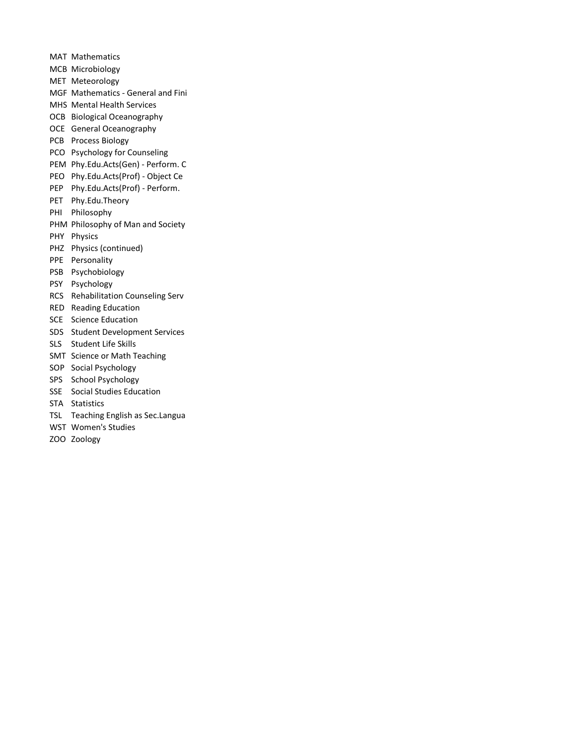- MAT Mathematics MCB Microbiology MET Meteorology MGF Mathematics - General and Fini MHS Mental Health Services OCB Biological Oceanography OCE General Oceanography PCB Process Biology PCO Psychology for Counseling PEM Phy.Edu.Acts(Gen) - Perform. C PEO Phy.Edu.Acts(Prof) - Object Ce PEP Phy.Edu.Acts(Prof) - Perform. PET Phy.Edu.Theory PHI Philosophy
- 
- PHM Philosophy of Man and Society
- PHY Physics
- PHZ Physics (continued)
- PPE Personality
- PSB Psychobiology
- PSY Psychology
- RCS Rehabilitation Counseling Serv
- RED Reading Education
- SCE Science Education
- SDS Student Development Services
- SLS Student Life Skills
- SMT Science or Math Teaching
- SOP Social Psychology
- SPS School Psychology
- SSE Social Studies Education
- STA Statistics
- TSL Teaching English as Sec.Langua
- WST Women's Studies
- ZOO Zoology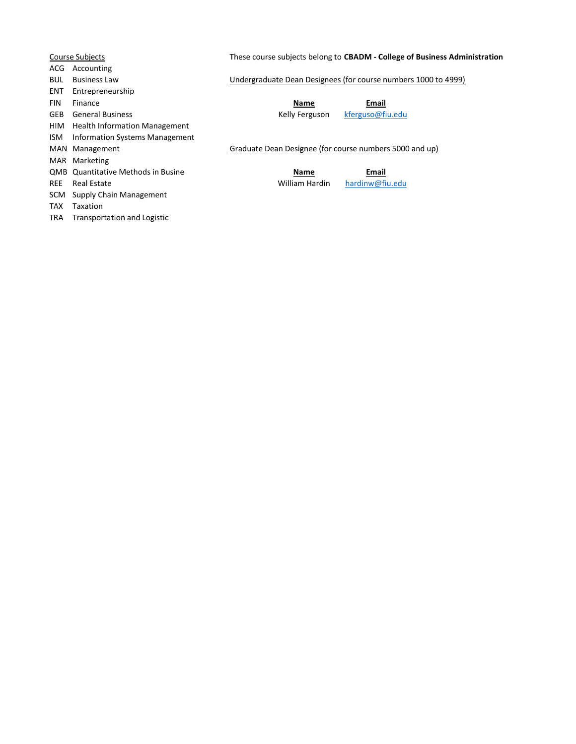| <b>Course Subjects</b> |                                           | These course subjects belong to CBADM - College of Business Administration |                                                                |  |
|------------------------|-------------------------------------------|----------------------------------------------------------------------------|----------------------------------------------------------------|--|
| ACG                    | Accounting                                |                                                                            |                                                                |  |
| <b>BUL</b>             | <b>Business Law</b>                       |                                                                            | Undergraduate Dean Designees (for course numbers 1000 to 4999) |  |
| <b>ENT</b>             | Entrepreneurship                          |                                                                            |                                                                |  |
| <b>FIN</b>             | Finance                                   | Name                                                                       | Email                                                          |  |
| <b>GEB</b>             | <b>General Business</b>                   | Kelly Ferguson                                                             | kferguso@fiu.edu                                               |  |
| HIM                    | <b>Health Information Management</b>      |                                                                            |                                                                |  |
| ISM                    | Information Systems Management            |                                                                            |                                                                |  |
|                        | MAN Management                            | Graduate Dean Designee (for course numbers 5000 and up)                    |                                                                |  |
|                        | MAR Marketing                             |                                                                            |                                                                |  |
|                        | <b>QMB</b> Quantitative Methods in Busine | <b>Name</b>                                                                | Email                                                          |  |
| <b>REE</b>             | Real Estate                               | William Hardin                                                             | hardinw@fiu.edu                                                |  |
| SCM                    | Supply Chain Management                   |                                                                            |                                                                |  |
| TAX                    | Taxation                                  |                                                                            |                                                                |  |
| TRA                    | Transportation and Logistic               |                                                                            |                                                                |  |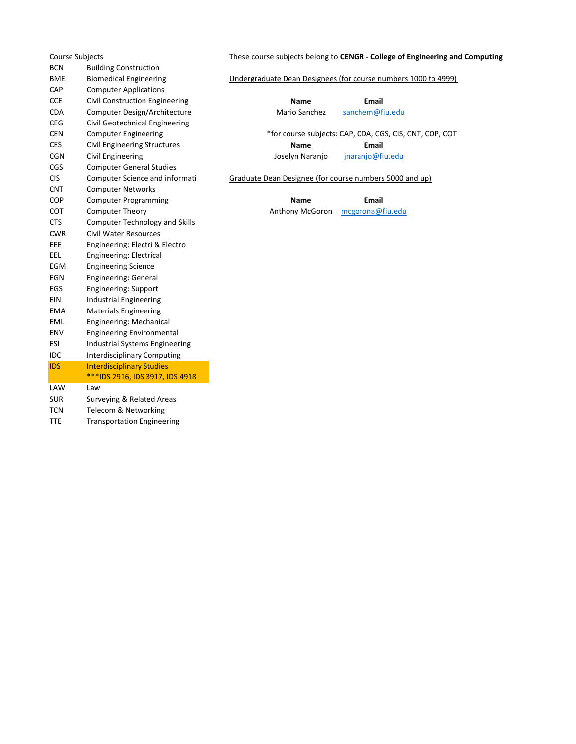BCN Building Construction CAP Computer Applications CCE Civil Construction Engineering Name Name Email CDA Computer Design/Architecture Mario Sanchez sanchem@fiu.edu CEG Civil Geotechnical Engineering CES Civil Engineering Structures **Name Name Email** CGN Civil Engineering The Control of the Joselyn Naranjo *inaranjo@fiu.edu* CGS Computer General Studies CNT Computer Networks COP Computer Programming COP Email COT Computer Theory CONTERCORE Anthony McGoron mcgorona@fiu.edu CTS Computer Technology and Skills CWR Civil Water Resources EEE Engineering: Electri & Electro EEL Engineering: Electrical EGM Engineering Science EGN Engineering: General EGS Engineering: Support EIN Industrial Engineering EMA Materials Engineering EML Engineering: Mechanical ENV Engineering Environmental ESI Industrial Systems Engineering IDC Interdisciplinary Computing IDS Interdisciplinary Studies \*\*\*IDS 2916, IDS 3917, IDS 4918 LAW Law SUR Surveying & Related Areas TCN Telecom & Networking

TTE Transportation Engineering

Course Subjects These course subjects belong to CENGR - College of Engineering and Computing

### BME Biomedical Engineering Undergraduate Dean Designees (for course numbers 1000 to 4999)

CEN Computer Engineering \*for course subjects: CAP, CDA, CGS, CIS, CNT, COP, COT

CIS Computer Science and informati Graduate Dean Designee (for course numbers 5000 and up)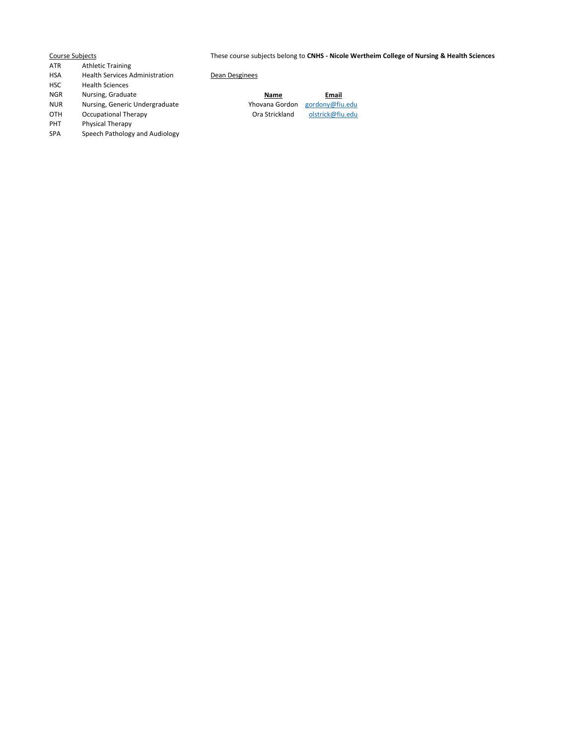Course Subjects These course subjects belong to CNHS - Nicole Wertheim College of Nursing & Health Sciences

- ATR Athletic Training
- HSA Health Services Administration Dean Desginees
- HSC Health Sciences
- NGR Nursing, Graduate Name Email and Name
- NUR Nursing, Generic Undergraduate Yhovana Gordon Gordon gordon gordon gordon gordon gordon gordon gordon gord<br>Ora Strickla
- OTH Occupational Therapy **Ora Strickland** Ora Strickland **olstrick@fiu.edu**<br>
PHT Physical Therapy
- Physical Therapy
- SPA Speech Pathology and Audiology

|         | Email                                                                                                                |
|---------|----------------------------------------------------------------------------------------------------------------------|
| rdon.   | gordony@fiu.edu                                                                                                      |
| المساحي | $\mathbf{1}$ $\mathbf{1}$ $\mathbf{1}$ $\mathbf{1}$ $\mathbf{2}$ $\mathbf{3}$ $\mathbf{5}$ $\mathbf{1}$ $\mathbf{1}$ |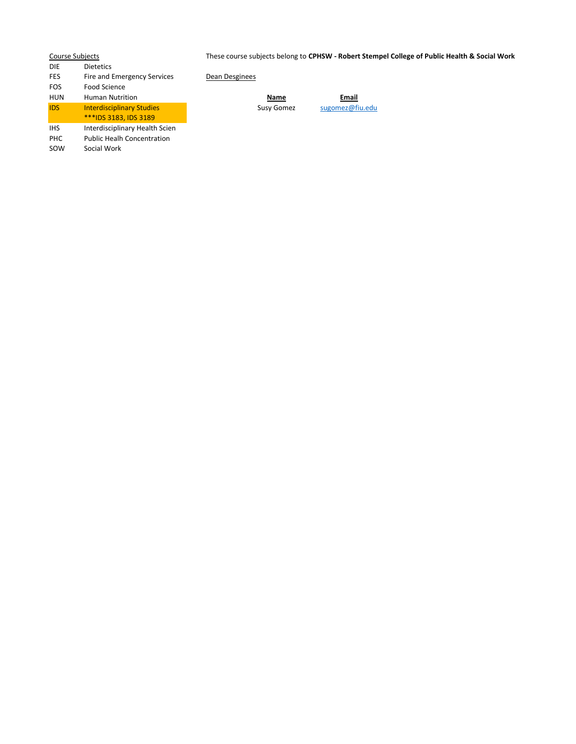| <b>Course Subjects</b> |                                   | These course subjects belong to CPHSW - Robert Stempel College of Public Health & Social Work |
|------------------------|-----------------------------------|-----------------------------------------------------------------------------------------------|
| <b>DIE</b>             | <b>Dietetics</b>                  |                                                                                               |
| <b>FES</b>             | Fire and Emergency Services       | Dean Desginees                                                                                |
| <b>FOS</b>             | Food Science                      |                                                                                               |
| <b>HUN</b>             | <b>Human Nutrition</b>            | Email<br>Name                                                                                 |
| <b>IDS</b>             | <b>Interdisciplinary Studies</b>  | sugomez@fiu.edu<br>Susy Gomez                                                                 |
|                        | ***IDS 3183, IDS 3189             |                                                                                               |
| <b>IHS</b>             | Interdisciplinary Health Scien    |                                                                                               |
| PHC                    | <b>Public Healh Concentration</b> |                                                                                               |
| SOW                    | Social Work                       |                                                                                               |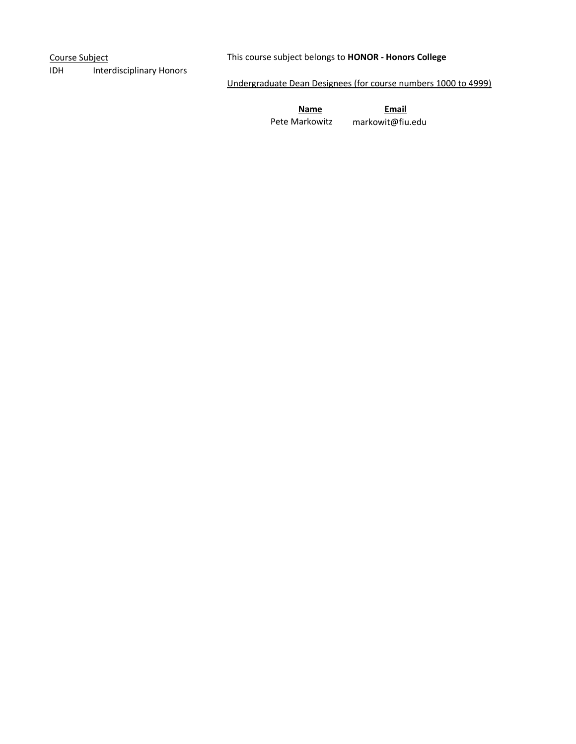IDH Interdisciplinary Honors

Course Subject Course Subject belongs to HONOR - Honors College

Undergraduate Dean Designees (for course numbers 1000 to 4999)

Name Email Pete Markowitz markowit@fiu.edu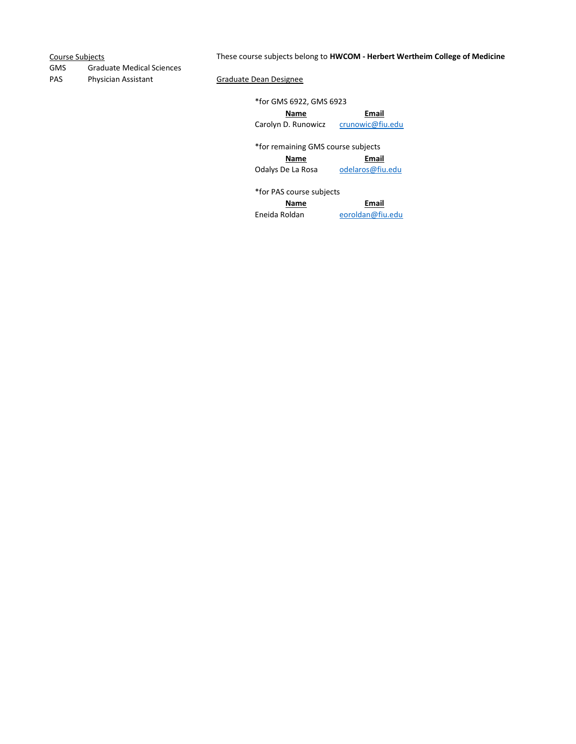# Course Subjects **These course subjects belong to HWCOM - Herbert Wertheim College of Medicine**

GMS Graduate Medical Sciences PAS Physician Assistant Graduate Dean Designee

\*for GMS 6922, GMS 6923

Name Email Carolyn D. Runowicz crunowic@fiu.edu

\*for remaining GMS course subjects Name Email

Odalys De La Rosa odelaros@fiu.edu

\*for PAS course subjects

Name Email Eneida Roldan eoroldan@fiu.edu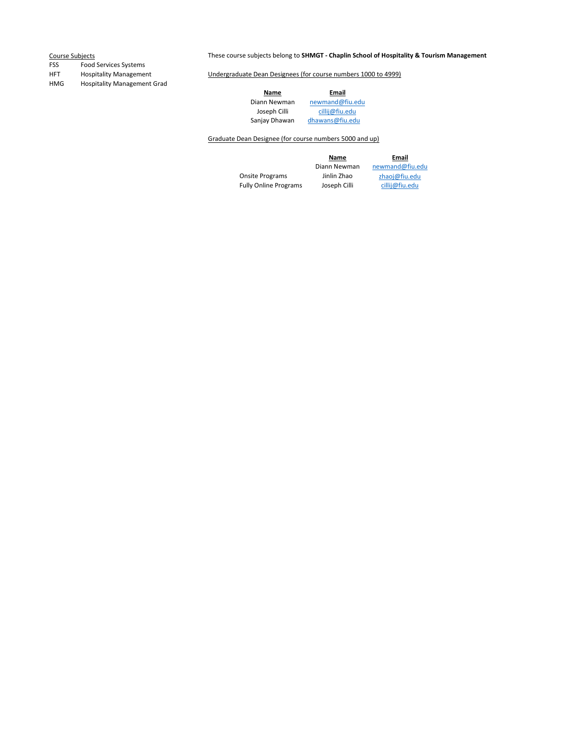# FSS Food Services Systems

HMG Hospitality Management Grad

# Course Subjects **These course subjects belong to SHMGT - Chaplin School of Hospitality & Tourism Management**

HFT Hospitality Management Undergraduate Dean Designees (for course numbers 1000 to 4999)

Name Email

Diann Newman newmand@fiu.edu

Joseph Cilli cillij@fiu.edu<br>Sanjay Dhawan dhawans@fiu.edu dhawans@fiu.edu

## Graduate Dean Designee (for course numbers 5000 and up)

Onsite Programs Jinlin Zhao zhaoj@fiu.edu Fully Online Programs Joseph Cilli cillij@fiu.edu

**Name**<br>Diann Newman **Diann Newman** newmand@fiu.edu